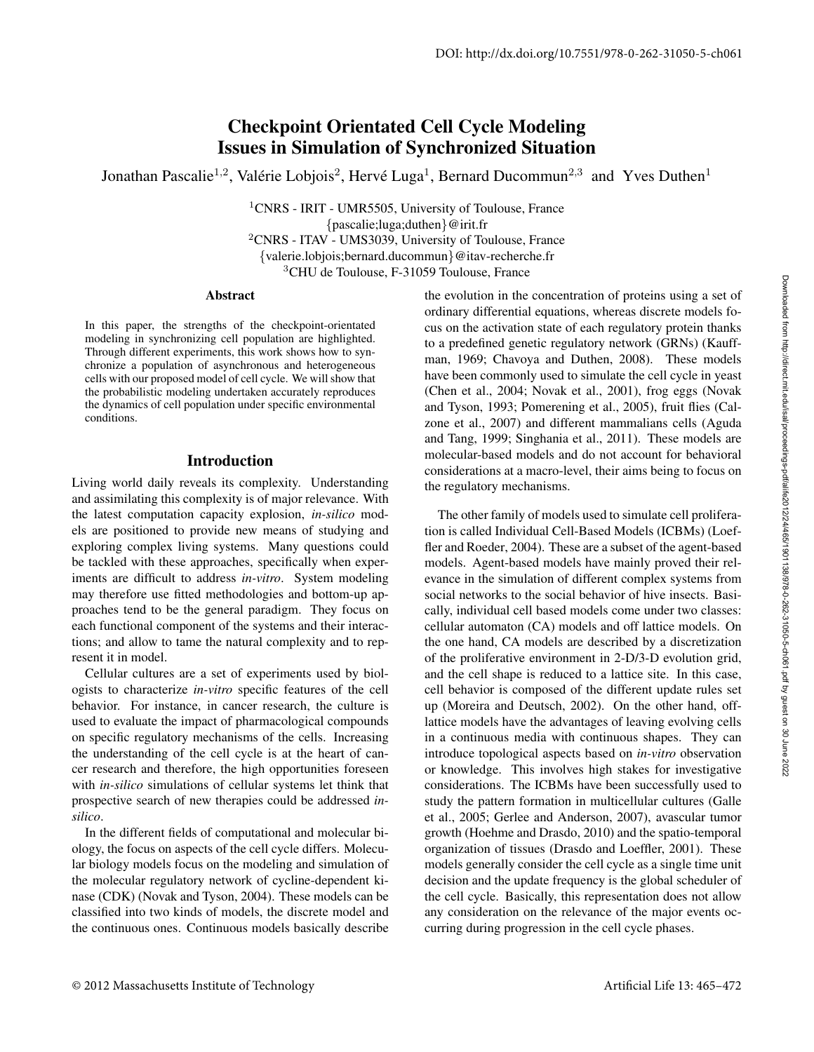# Checkpoint Orientated Cell Cycle Modeling Issues in Simulation of Synchronized Situation

Jonathan Pascalie<sup>1,2</sup>, Valérie Lobjois<sup>2</sup>, Hervé Luga<sup>1</sup>, Bernard Ducommun<sup>2,3</sup> and Yves Duthen<sup>1</sup>

<sup>1</sup>CNRS - IRIT - UMR5505, University of Toulouse, France {pascalie;luga;duthen}@irit.fr <sup>2</sup>CNRS - ITAV - UMS3039, University of Toulouse, France {valerie.lobjois;bernard.ducommun}@itav-recherche.fr <sup>3</sup>CHU de Toulouse, F-31059 Toulouse, France

#### Abstract

In this paper, the strengths of the checkpoint-orientated modeling in synchronizing cell population are highlighted. Through different experiments, this work shows how to synchronize a population of asynchronous and heterogeneous cells with our proposed model of cell cycle. We will show that the probabilistic modeling undertaken accurately reproduces the dynamics of cell population under specific environmental conditions.

#### Introduction

Living world daily reveals its complexity. Understanding and assimilating this complexity is of major relevance. With the latest computation capacity explosion, *in-silico* models are positioned to provide new means of studying and exploring complex living systems. Many questions could be tackled with these approaches, specifically when experiments are difficult to address *in-vitro*. System modeling may therefore use fitted methodologies and bottom-up approaches tend to be the general paradigm. They focus on each functional component of the systems and their interactions; and allow to tame the natural complexity and to represent it in model.

Cellular cultures are a set of experiments used by biologists to characterize *in-vitro* specific features of the cell behavior. For instance, in cancer research, the culture is used to evaluate the impact of pharmacological compounds on specific regulatory mechanisms of the cells. Increasing the understanding of the cell cycle is at the heart of cancer research and therefore, the high opportunities foreseen with *in-silico* simulations of cellular systems let think that prospective search of new therapies could be addressed *insilico*.

In the different fields of computational and molecular biology, the focus on aspects of the cell cycle differs. Molecular biology models focus on the modeling and simulation of the molecular regulatory network of cycline-dependent kinase (CDK) (Novak and Tyson, 2004). These models can be classified into two kinds of models, the discrete model and the continuous ones. Continuous models basically describe

the evolution in the concentration of proteins using a set of ordinary differential equations, whereas discrete models focus on the activation state of each regulatory protein thanks to a predefined genetic regulatory network (GRNs) (Kauffman, 1969; Chavoya and Duthen, 2008). These models have been commonly used to simulate the cell cycle in yeast (Chen et al., 2004; Novak et al., 2001), frog eggs (Novak and Tyson, 1993; Pomerening et al., 2005), fruit flies (Calzone et al., 2007) and different mammalians cells (Aguda and Tang, 1999; Singhania et al., 2011). These models are molecular-based models and do not account for behavioral considerations at a macro-level, their aims being to focus on the regulatory mechanisms.

The other family of models used to simulate cell proliferation is called Individual Cell-Based Models (ICBMs) (Loeffler and Roeder, 2004). These are a subset of the agent-based models. Agent-based models have mainly proved their relevance in the simulation of different complex systems from social networks to the social behavior of hive insects. Basically, individual cell based models come under two classes: cellular automaton (CA) models and off lattice models. On the one hand, CA models are described by a discretization of the proliferative environment in 2-D/3-D evolution grid, and the cell shape is reduced to a lattice site. In this case, cell behavior is composed of the different update rules set up (Moreira and Deutsch, 2002). On the other hand, offlattice models have the advantages of leaving evolving cells in a continuous media with continuous shapes. They can introduce topological aspects based on *in-vitro* observation or knowledge. This involves high stakes for investigative considerations. The ICBMs have been successfully used to study the pattern formation in multicellular cultures (Galle et al., 2005; Gerlee and Anderson, 2007), avascular tumor growth (Hoehme and Drasdo, 2010) and the spatio-temporal organization of tissues (Drasdo and Loeffler, 2001). These models generally consider the cell cycle as a single time unit decision and the update frequency is the global scheduler of the cell cycle. Basically, this representation does not allow any consideration on the relevance of the major events occurring during progression in the cell cycle phases.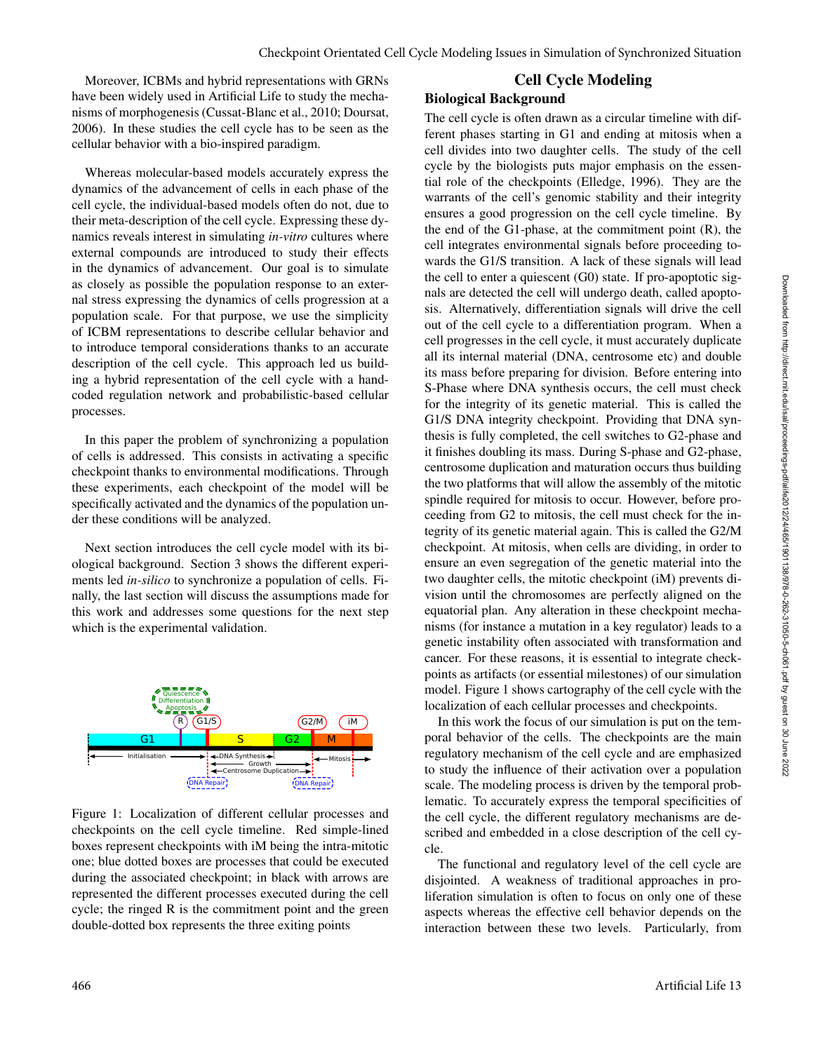Moreover, ICBMs and hybrid representations with GRNs have been widely used in Artificial Life to study the mechanisms of morphogenesis (Cussat-Blanc et al., 2010; Doursat, 2006). In these studies the cell cycle has to be seen as the cellular behavior with a bio-inspired paradigm.

Whereas molecular-based models accurately express the dynamics of the advancement of cells in each phase of the cell cycle, the individual-based models often do not, due to their meta-description of the cell cycle. Expressing these dynamics reveals interest in simulating *in-vitro* cultures where external compounds are introduced to study their effects in the dynamics of advancement. Our goal is to simulate as closely as possible the population response to an external stress expressing the dynamics of cells progression at a population scale. For that purpose, we use the simplicity of ICBM representations to describe cellular behavior and to introduce temporal considerations thanks to an accurate description of the cell cycle. This approach led us building a hybrid representation of the cell cycle with a handcoded regulation network and probabilistic-based cellular processes.

In this paper the problem of synchronizing a population of cells is addressed. This consists in activating a specific checkpoint thanks to environmental modifications. Through these experiments, each checkpoint of the model will be specifically activated and the dynamics of the population under these conditions will be analyzed.

Next section introduces the cell cycle model with its biological background. Section 3 shows the different experiments led *in-silico* to synchronize a population of cells. Finally, the last section will discuss the assumptions made for this work and addresses some questions for the next step which is the experimental validation.



Figure 1: Localization of different cellular processes and checkpoints on the cell cycle timeline. Red simple-lined boxes represent checkpoints with iM being the intra-mitotic one; blue dotted boxes are processes that could be executed during the associated checkpoint; in black with arrows are represented the different processes executed during the cell cycle; the ringed R is the commitment point and the green double-dotted box represents the three exiting points

# Cell Cycle Modeling

### Biological Background

The cell cycle is often drawn as a circular timeline with different phases starting in G1 and ending at mitosis when a cell divides into two daughter cells. The study of the cell cycle by the biologists puts major emphasis on the essential role of the checkpoints (Elledge, 1996). They are the warrants of the cell's genomic stability and their integrity ensures a good progression on the cell cycle timeline. By the end of the G1-phase, at the commitment point  $(R)$ , the cell integrates environmental signals before proceeding towards the G1/S transition. A lack of these signals will lead the cell to enter a quiescent (G0) state. If pro-apoptotic signals are detected the cell will undergo death, called apoptosis. Alternatively, differentiation signals will drive the cell out of the cell cycle to a differentiation program. When a cell progresses in the cell cycle, it must accurately duplicate all its internal material (DNA, centrosome etc) and double its mass before preparing for division. Before entering into S-Phase where DNA synthesis occurs, the cell must check for the integrity of its genetic material. This is called the G1/S DNA integrity checkpoint. Providing that DNA synthesis is fully completed, the cell switches to G2-phase and it finishes doubling its mass. During S-phase and G2-phase, centrosome duplication and maturation occurs thus building the two platforms that will allow the assembly of the mitotic spindle required for mitosis to occur. However, before proceeding from G2 to mitosis, the cell must check for the integrity of its genetic material again. This is called the G2/M checkpoint. At mitosis, when cells are dividing, in order to ensure an even segregation of the genetic material into the two daughter cells, the mitotic checkpoint (iM) prevents division until the chromosomes are perfectly aligned on the equatorial plan. Any alteration in these checkpoint mechanisms (for instance a mutation in a key regulator) leads to a genetic instability often associated with transformation and cancer. For these reasons, it is essential to integrate checkpoints as artifacts (or essential milestones) of our simulation model. Figure 1 shows cartography of the cell cycle with the localization of each cellular processes and checkpoints.

In this work the focus of our simulation is put on the temporal behavior of the cells. The checkpoints are the main regulatory mechanism of the cell cycle and are emphasized to study the influence of their activation over a population scale. The modeling process is driven by the temporal problematic. To accurately express the temporal specificities of the cell cycle, the different regulatory mechanisms are described and embedded in a close description of the cell cycle.

The functional and regulatory level of the cell cycle are disjointed. A weakness of traditional approaches in proliferation simulation is often to focus on only one of these aspects whereas the effective cell behavior depends on the interaction between these two levels. Particularly, from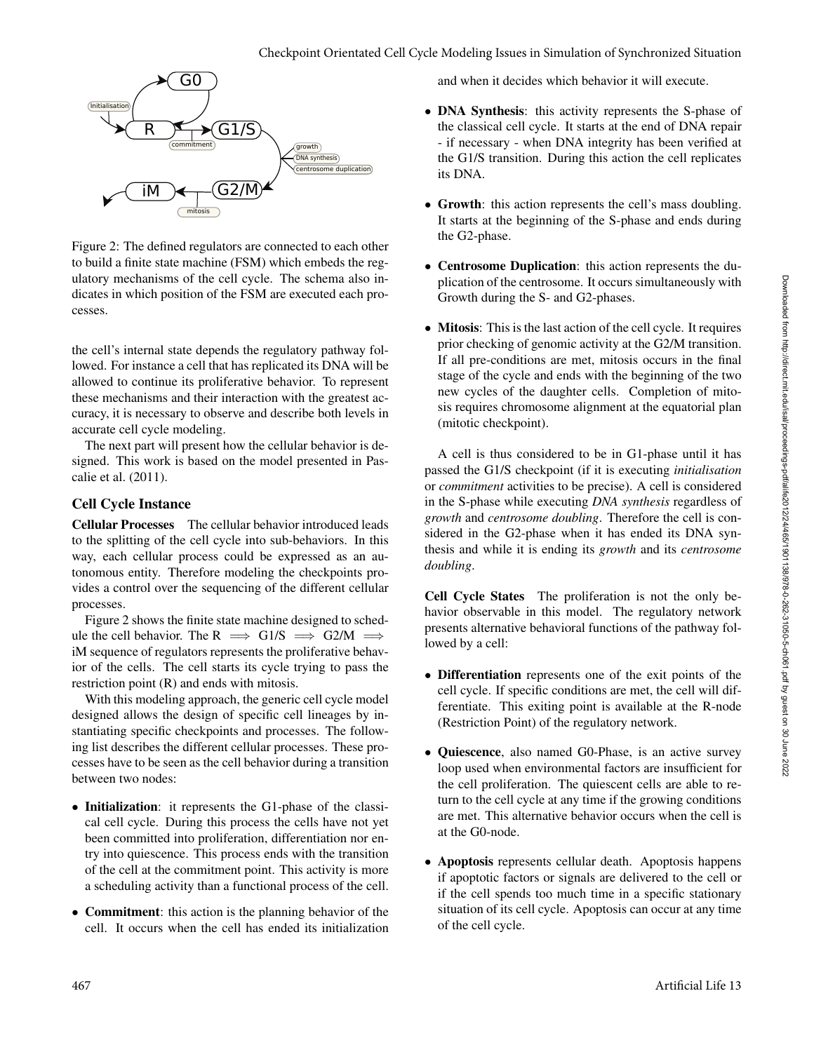

Figure 2: The defined regulators are connected to each other to build a finite state machine (FSM) which embeds the regulatory mechanisms of the cell cycle. The schema also indicates in which position of the FSM are executed each processes.

the cell's internal state depends the regulatory pathway followed. For instance a cell that has replicated its DNA will be allowed to continue its proliferative behavior. To represent these mechanisms and their interaction with the greatest accuracy, it is necessary to observe and describe both levels in accurate cell cycle modeling.

The next part will present how the cellular behavior is designed. This work is based on the model presented in Pascalie et al. (2011).

### Cell Cycle Instance

Cellular Processes The cellular behavior introduced leads to the splitting of the cell cycle into sub-behaviors. In this way, each cellular process could be expressed as an autonomous entity. Therefore modeling the checkpoints provides a control over the sequencing of the different cellular processes.

Figure 2 shows the finite state machine designed to schedule the cell behavior. The R  $\implies$  G1/S  $\implies$  G2/M  $\implies$ iM sequence of regulators represents the proliferative behavior of the cells. The cell starts its cycle trying to pass the restriction point (R) and ends with mitosis.

With this modeling approach, the generic cell cycle model designed allows the design of specific cell lineages by instantiating specific checkpoints and processes. The following list describes the different cellular processes. These processes have to be seen as the cell behavior during a transition between two nodes:

- Initialization: it represents the G1-phase of the classical cell cycle. During this process the cells have not yet been committed into proliferation, differentiation nor entry into quiescence. This process ends with the transition of the cell at the commitment point. This activity is more a scheduling activity than a functional process of the cell.
- Commitment: this action is the planning behavior of the cell. It occurs when the cell has ended its initialization

and when it decides which behavior it will execute.

- DNA Synthesis: this activity represents the S-phase of the classical cell cycle. It starts at the end of DNA repair - if necessary - when DNA integrity has been verified at the G1/S transition. During this action the cell replicates its DNA.
- Growth: this action represents the cell's mass doubling. It starts at the beginning of the S-phase and ends during the G2-phase.
- Centrosome Duplication: this action represents the duplication of the centrosome. It occurs simultaneously with Growth during the S- and G2-phases.
- Mitosis: This is the last action of the cell cycle. It requires prior checking of genomic activity at the G2/M transition. If all pre-conditions are met, mitosis occurs in the final stage of the cycle and ends with the beginning of the two new cycles of the daughter cells. Completion of mitosis requires chromosome alignment at the equatorial plan (mitotic checkpoint).

A cell is thus considered to be in G1-phase until it has passed the G1/S checkpoint (if it is executing *initialisation* or *commitment* activities to be precise). A cell is considered in the S-phase while executing *DNA synthesis* regardless of *growth* and *centrosome doubling*. Therefore the cell is considered in the G2-phase when it has ended its DNA synthesis and while it is ending its *growth* and its *centrosome doubling*.

Cell Cycle States The proliferation is not the only behavior observable in this model. The regulatory network presents alternative behavioral functions of the pathway followed by a cell:

- Differentiation represents one of the exit points of the cell cycle. If specific conditions are met, the cell will differentiate. This exiting point is available at the R-node (Restriction Point) of the regulatory network.
- Quiescence, also named G0-Phase, is an active survey loop used when environmental factors are insufficient for the cell proliferation. The quiescent cells are able to return to the cell cycle at any time if the growing conditions are met. This alternative behavior occurs when the cell is at the G0-node.
- Apoptosis represents cellular death. Apoptosis happens if apoptotic factors or signals are delivered to the cell or if the cell spends too much time in a specific stationary situation of its cell cycle. Apoptosis can occur at any time of the cell cycle.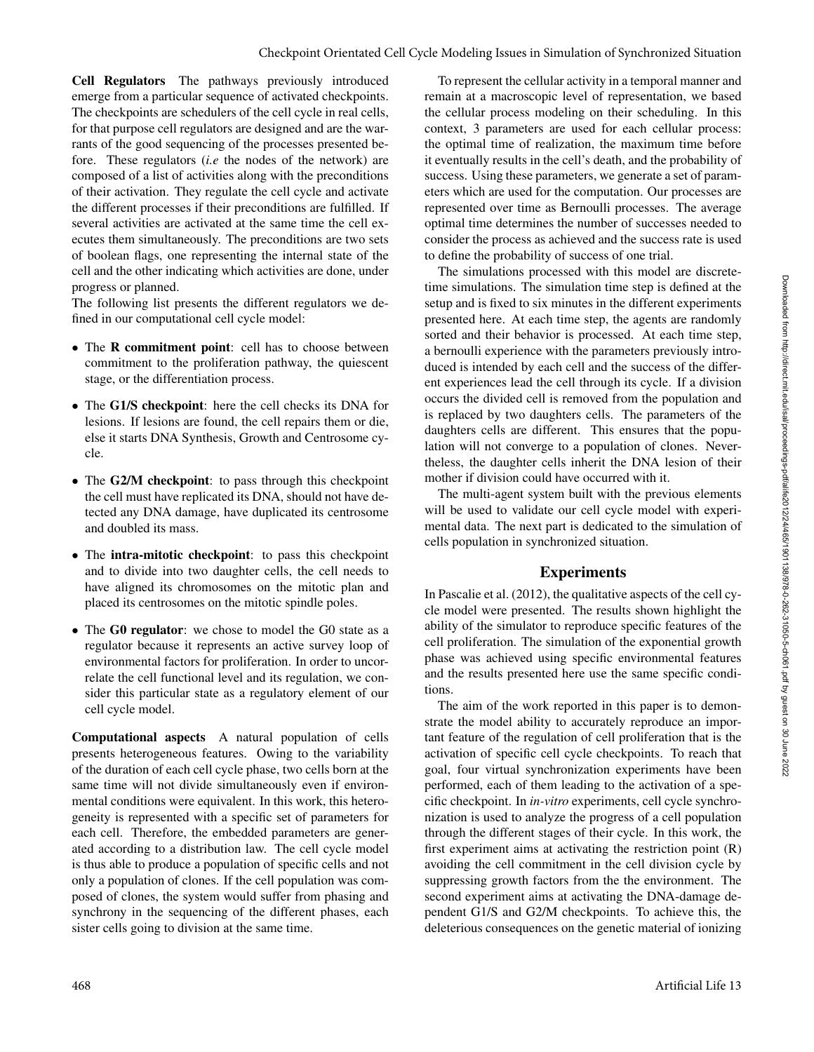Cell Regulators The pathways previously introduced emerge from a particular sequence of activated checkpoints. The checkpoints are schedulers of the cell cycle in real cells, for that purpose cell regulators are designed and are the warrants of the good sequencing of the processes presented before. These regulators (*i.e* the nodes of the network) are composed of a list of activities along with the preconditions of their activation. They regulate the cell cycle and activate the different processes if their preconditions are fulfilled. If several activities are activated at the same time the cell executes them simultaneously. The preconditions are two sets of boolean flags, one representing the internal state of the cell and the other indicating which activities are done, under progress or planned.

The following list presents the different regulators we defined in our computational cell cycle model:

- The **R** commitment point: cell has to choose between commitment to the proliferation pathway, the quiescent stage, or the differentiation process.
- The G1/S checkpoint: here the cell checks its DNA for lesions. If lesions are found, the cell repairs them or die, else it starts DNA Synthesis, Growth and Centrosome cycle.
- The G2/M checkpoint: to pass through this checkpoint the cell must have replicated its DNA, should not have detected any DNA damage, have duplicated its centrosome and doubled its mass.
- The intra-mitotic checkpoint: to pass this checkpoint and to divide into two daughter cells, the cell needs to have aligned its chromosomes on the mitotic plan and placed its centrosomes on the mitotic spindle poles.
- The G0 regulator: we chose to model the G0 state as a regulator because it represents an active survey loop of environmental factors for proliferation. In order to uncorrelate the cell functional level and its regulation, we consider this particular state as a regulatory element of our cell cycle model.

Computational aspects A natural population of cells presents heterogeneous features. Owing to the variability of the duration of each cell cycle phase, two cells born at the same time will not divide simultaneously even if environmental conditions were equivalent. In this work, this heterogeneity is represented with a specific set of parameters for each cell. Therefore, the embedded parameters are generated according to a distribution law. The cell cycle model is thus able to produce a population of specific cells and not only a population of clones. If the cell population was composed of clones, the system would suffer from phasing and synchrony in the sequencing of the different phases, each sister cells going to division at the same time.

To represent the cellular activity in a temporal manner and remain at a macroscopic level of representation, we based the cellular process modeling on their scheduling. In this context, 3 parameters are used for each cellular process: the optimal time of realization, the maximum time before it eventually results in the cell's death, and the probability of success. Using these parameters, we generate a set of parameters which are used for the computation. Our processes are represented over time as Bernoulli processes. The average optimal time determines the number of successes needed to consider the process as achieved and the success rate is used to define the probability of success of one trial.

The simulations processed with this model are discretetime simulations. The simulation time step is defined at the setup and is fixed to six minutes in the different experiments presented here. At each time step, the agents are randomly sorted and their behavior is processed. At each time step, a bernoulli experience with the parameters previously introduced is intended by each cell and the success of the different experiences lead the cell through its cycle. If a division occurs the divided cell is removed from the population and is replaced by two daughters cells. The parameters of the daughters cells are different. This ensures that the population will not converge to a population of clones. Nevertheless, the daughter cells inherit the DNA lesion of their mother if division could have occurred with it.

The multi-agent system built with the previous elements will be used to validate our cell cycle model with experimental data. The next part is dedicated to the simulation of cells population in synchronized situation.

#### Experiments

In Pascalie et al. (2012), the qualitative aspects of the cell cycle model were presented. The results shown highlight the ability of the simulator to reproduce specific features of the cell proliferation. The simulation of the exponential growth phase was achieved using specific environmental features and the results presented here use the same specific conditions.

The aim of the work reported in this paper is to demonstrate the model ability to accurately reproduce an important feature of the regulation of cell proliferation that is the activation of specific cell cycle checkpoints. To reach that goal, four virtual synchronization experiments have been performed, each of them leading to the activation of a specific checkpoint. In *in-vitro* experiments, cell cycle synchronization is used to analyze the progress of a cell population through the different stages of their cycle. In this work, the first experiment aims at activating the restriction point (R) avoiding the cell commitment in the cell division cycle by suppressing growth factors from the the environment. The second experiment aims at activating the DNA-damage dependent G1/S and G2/M checkpoints. To achieve this, the deleterious consequences on the genetic material of ionizing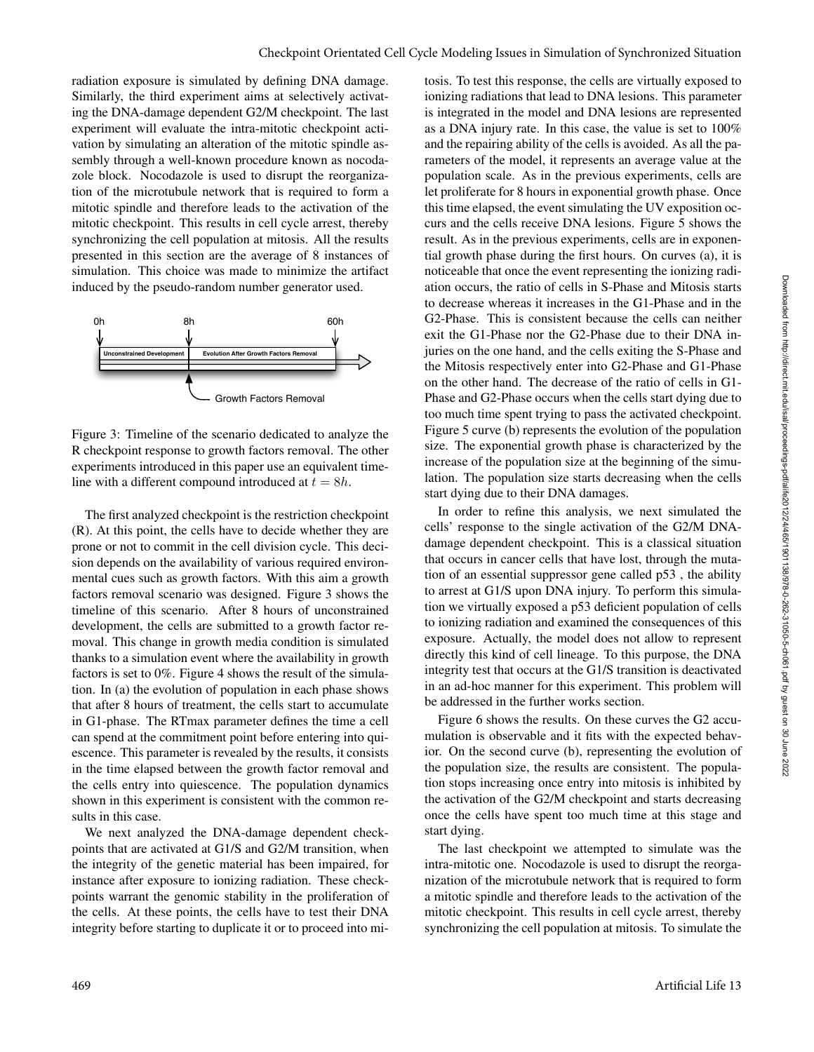radiation exposure is simulated by defining DNA damage. Similarly, the third experiment aims at selectively activating the DNA-damage dependent G2/M checkpoint. The last experiment will evaluate the intra-mitotic checkpoint activation by simulating an alteration of the mitotic spindle assembly through a well-known procedure known as nocodazole block. Nocodazole is used to disrupt the reorganization of the microtubule network that is required to form a mitotic spindle and therefore leads to the activation of the mitotic checkpoint. This results in cell cycle arrest, thereby synchronizing the cell population at mitosis. All the results presented in this section are the average of 8 instances of simulation. This choice was made to minimize the artifact induced by the pseudo-random number generator used.



Figure 3: Timeline of the scenario dedicated to analyze the R checkpoint response to growth factors removal. The other experiments introduced in this paper use an equivalent timeline with a different compound introduced at  $t = 8h$ .

The first analyzed checkpoint is the restriction checkpoint (R). At this point, the cells have to decide whether they are prone or not to commit in the cell division cycle. This decision depends on the availability of various required environmental cues such as growth factors. With this aim a growth factors removal scenario was designed. Figure 3 shows the timeline of this scenario. After 8 hours of unconstrained development, the cells are submitted to a growth factor removal. This change in growth media condition is simulated thanks to a simulation event where the availability in growth factors is set to 0%. Figure 4 shows the result of the simulation. In (a) the evolution of population in each phase shows that after 8 hours of treatment, the cells start to accumulate in G1-phase. The RTmax parameter defines the time a cell can spend at the commitment point before entering into quiescence. This parameter is revealed by the results, it consists in the time elapsed between the growth factor removal and the cells entry into quiescence. The population dynamics shown in this experiment is consistent with the common results in this case.

We next analyzed the DNA-damage dependent checkpoints that are activated at G1/S and G2/M transition, when the integrity of the genetic material has been impaired, for instance after exposure to ionizing radiation. These checkpoints warrant the genomic stability in the proliferation of the cells. At these points, the cells have to test their DNA integrity before starting to duplicate it or to proceed into mitosis. To test this response, the cells are virtually exposed to ionizing radiations that lead to DNA lesions. This parameter is integrated in the model and DNA lesions are represented as a DNA injury rate. In this case, the value is set to 100% and the repairing ability of the cells is avoided. As all the parameters of the model, it represents an average value at the population scale. As in the previous experiments, cells are let proliferate for 8 hours in exponential growth phase. Once this time elapsed, the event simulating the UV exposition occurs and the cells receive DNA lesions. Figure 5 shows the result. As in the previous experiments, cells are in exponential growth phase during the first hours. On curves (a), it is noticeable that once the event representing the ionizing radiation occurs, the ratio of cells in S-Phase and Mitosis starts to decrease whereas it increases in the G1-Phase and in the G2-Phase. This is consistent because the cells can neither exit the G1-Phase nor the G2-Phase due to their DNA injuries on the one hand, and the cells exiting the S-Phase and the Mitosis respectively enter into G2-Phase and G1-Phase on the other hand. The decrease of the ratio of cells in G1- Phase and G2-Phase occurs when the cells start dying due to too much time spent trying to pass the activated checkpoint. Figure 5 curve (b) represents the evolution of the population size. The exponential growth phase is characterized by the increase of the population size at the beginning of the simulation. The population size starts decreasing when the cells start dying due to their DNA damages.

In order to refine this analysis, we next simulated the cells' response to the single activation of the G2/M DNAdamage dependent checkpoint. This is a classical situation that occurs in cancer cells that have lost, through the mutation of an essential suppressor gene called p53 , the ability to arrest at G1/S upon DNA injury. To perform this simulation we virtually exposed a p53 deficient population of cells to ionizing radiation and examined the consequences of this exposure. Actually, the model does not allow to represent directly this kind of cell lineage. To this purpose, the DNA integrity test that occurs at the G1/S transition is deactivated in an ad-hoc manner for this experiment. This problem will be addressed in the further works section.

Figure 6 shows the results. On these curves the G2 accumulation is observable and it fits with the expected behavior. On the second curve (b), representing the evolution of the population size, the results are consistent. The population stops increasing once entry into mitosis is inhibited by the activation of the G2/M checkpoint and starts decreasing once the cells have spent too much time at this stage and start dying.

The last checkpoint we attempted to simulate was the intra-mitotic one. Nocodazole is used to disrupt the reorganization of the microtubule network that is required to form a mitotic spindle and therefore leads to the activation of the mitotic checkpoint. This results in cell cycle arrest, thereby synchronizing the cell population at mitosis. To simulate the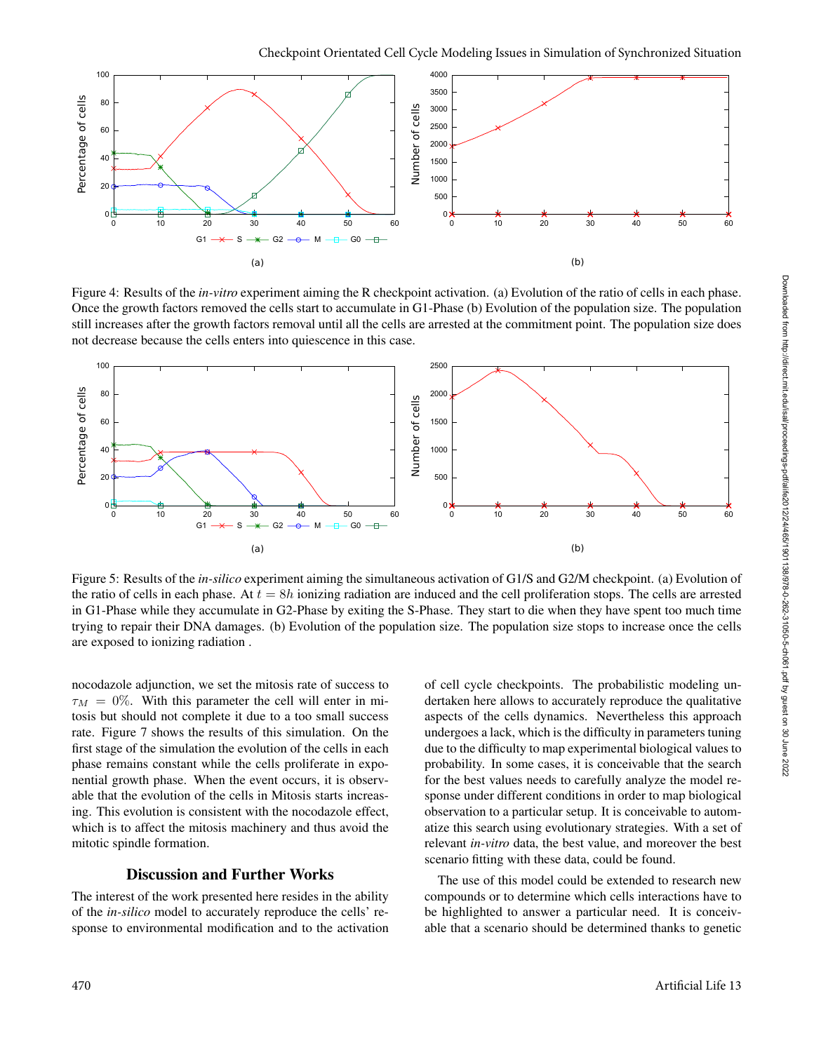

Figure 4: Results of the *in-vitro* experiment aiming the R checkpoint activation. (a) Evolution of the ratio of cells in each phase. Once the growth factors removed the cells start to accumulate in G1-Phase (b) Evolution of the population size. The population still increases after the growth factors removal until all the cells are arrested at the commitment point. The population size does not decrease because the cells enters into quiescence in this case.



Figure 5: Results of the *in-silico* experiment aiming the simultaneous activation of G1/S and G2/M checkpoint. (a) Evolution of the ratio of cells in each phase. At  $t = 8h$  ionizing radiation are induced and the cell proliferation stops. The cells are arrested in G1-Phase while they accumulate in G2-Phase by exiting the S-Phase. They start to die when they have spent too much time trying to repair their DNA damages. (b) Evolution of the population size. The population size stops to increase once the cells are exposed to ionizing radiation .

nocodazole adjunction, we set the mitosis rate of success to  $\tau_M = 0\%$ . With this parameter the cell will enter in mitosis but should not complete it due to a too small success rate. Figure 7 shows the results of this simulation. On the first stage of the simulation the evolution of the cells in each phase remains constant while the cells proliferate in exponential growth phase. When the event occurs, it is observable that the evolution of the cells in Mitosis starts increasing. This evolution is consistent with the nocodazole effect, which is to affect the mitosis machinery and thus avoid the mitotic spindle formation.

#### Discussion and Further Works

The interest of the work presented here resides in the ability of the *in-silico* model to accurately reproduce the cells' response to environmental modification and to the activation of cell cycle checkpoints. The probabilistic modeling undertaken here allows to accurately reproduce the qualitative aspects of the cells dynamics. Nevertheless this approach undergoes a lack, which is the difficulty in parameters tuning due to the difficulty to map experimental biological values to probability. In some cases, it is conceivable that the search for the best values needs to carefully analyze the model response under different conditions in order to map biological observation to a particular setup. It is conceivable to automatize this search using evolutionary strategies. With a set of relevant *in-vitro* data, the best value, and moreover the best scenario fitting with these data, could be found.

The use of this model could be extended to research new compounds or to determine which cells interactions have to be highlighted to answer a particular need. It is conceivable that a scenario should be determined thanks to genetic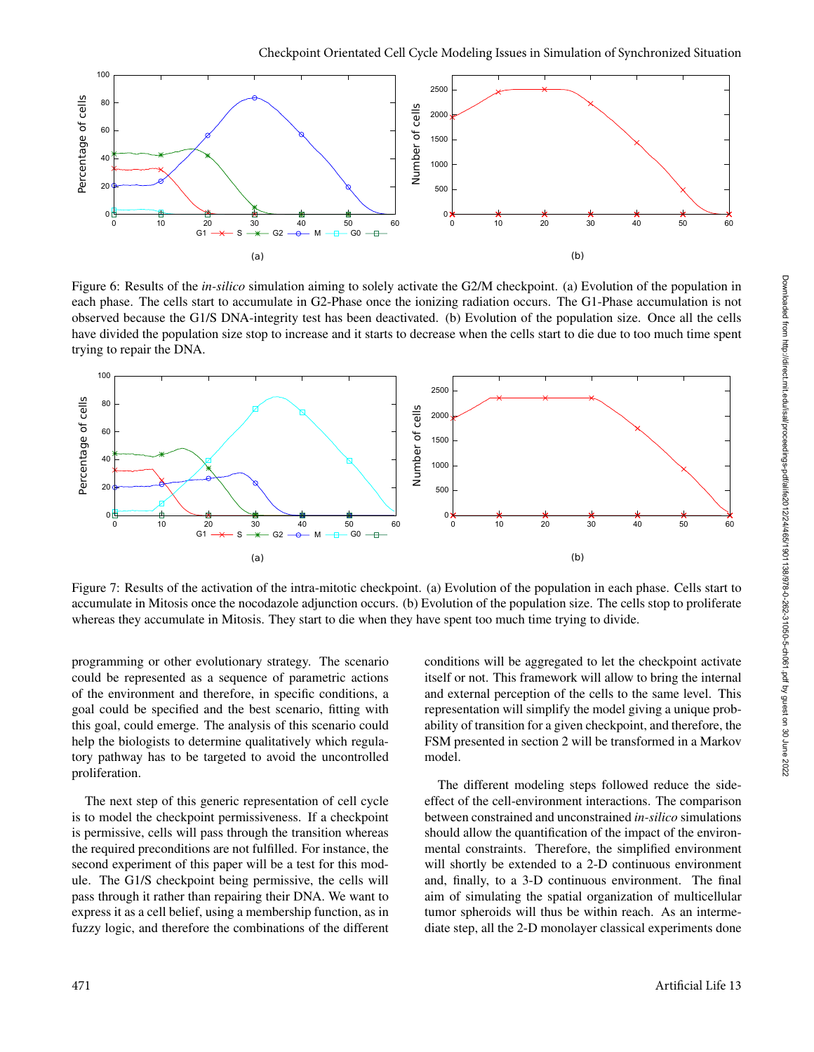

Figure 6: Results of the *in-silico* simulation aiming to solely activate the G2/M checkpoint. (a) Evolution of the population in each phase. The cells start to accumulate in G2-Phase once the ionizing radiation occurs. The G1-Phase accumulation is not observed because the G1/S DNA-integrity test has been deactivated. (b) Evolution of the population size. Once all the cells have divided the population size stop to increase and it starts to decrease when the cells start to die due to too much time spent trying to repair the DNA.



Figure 7: Results of the activation of the intra-mitotic checkpoint. (a) Evolution of the population in each phase. Cells start to accumulate in Mitosis once the nocodazole adjunction occurs. (b) Evolution of the population size. The cells stop to proliferate whereas they accumulate in Mitosis. They start to die when they have spent too much time trying to divide.

programming or other evolutionary strategy. The scenario could be represented as a sequence of parametric actions of the environment and therefore, in specific conditions, a goal could be specified and the best scenario, fitting with this goal, could emerge. The analysis of this scenario could help the biologists to determine qualitatively which regulatory pathway has to be targeted to avoid the uncontrolled proliferation.

The next step of this generic representation of cell cycle is to model the checkpoint permissiveness. If a checkpoint is permissive, cells will pass through the transition whereas the required preconditions are not fulfilled. For instance, the second experiment of this paper will be a test for this module. The G1/S checkpoint being permissive, the cells will pass through it rather than repairing their DNA. We want to express it as a cell belief, using a membership function, as in fuzzy logic, and therefore the combinations of the different

conditions will be aggregated to let the checkpoint activate itself or not. This framework will allow to bring the internal and external perception of the cells to the same level. This representation will simplify the model giving a unique probability of transition for a given checkpoint, and therefore, the FSM presented in section 2 will be transformed in a Markov model.

The different modeling steps followed reduce the sideeffect of the cell-environment interactions. The comparison between constrained and unconstrained *in-silico* simulations should allow the quantification of the impact of the environmental constraints. Therefore, the simplified environment will shortly be extended to a 2-D continuous environment and, finally, to a 3-D continuous environment. The final aim of simulating the spatial organization of multicellular tumor spheroids will thus be within reach. As an intermediate step, all the 2-D monolayer classical experiments done